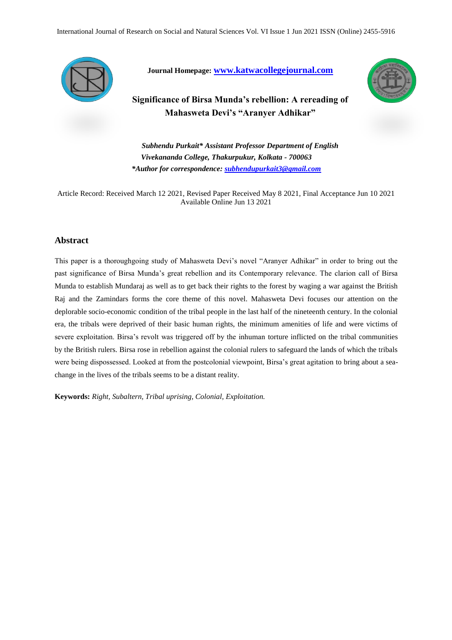

**Journal Homepage: [www.katwacollegejournal.com](http://www.katwacollegejournal.com/)**



**Significance of Birsa Munda's rebellion: A rereading of Mahasweta Devi's "Aranyer Adhikar"**

*Subhendu Purkait\* Assistant Professor Department of English Vivekananda College, Thakurpukur, Kolkata - 700063 \*Author for correspondence: [subhendupurkait3@gmail.com](mailto:subhendupurkait3@gmail.com)*

Article Record: Received March 12 2021, Revised Paper Received May 8 2021, Final Acceptance Jun 10 2021 Available Online Jun 13 2021

### **Abstract**

This paper is a thoroughgoing study of Mahasweta Devi's novel "Aranyer Adhikar" in order to bring out the past significance of Birsa Munda's great rebellion and its Contemporary relevance. The clarion call of Birsa Munda to establish Mundaraj as well as to get back their rights to the forest by waging a war against the British Raj and the Zamindars forms the core theme of this novel. Mahasweta Devi focuses our attention on the deplorable socio-economic condition of the tribal people in the last half of the nineteenth century. In the colonial era, the tribals were deprived of their basic human rights, the minimum amenities of life and were victims of severe exploitation. Birsa's revolt was triggered off by the inhuman torture inflicted on the tribal communities by the British rulers. Birsa rose in rebellion against the colonial rulers to safeguard the lands of which the tribals were being dispossessed. Looked at from the postcolonial viewpoint, Birsa's great agitation to bring about a seachange in the lives of the tribals seems to be a distant reality.

**Keywords:** *Right, Subaltern, Tribal uprising, Colonial, Exploitation.*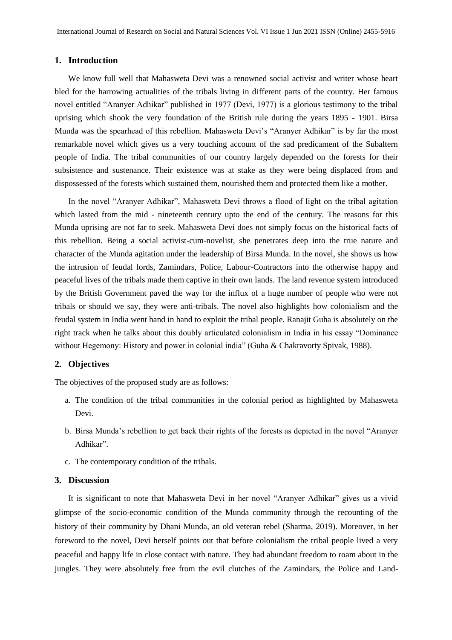# **1. Introduction**

We know full well that Mahasweta Devi was a renowned social activist and writer whose heart bled for the harrowing actualities of the tribals living in different parts of the country. Her famous novel entitled "Aranyer Adhikar" published in 1977 (Devi, 1977) is a glorious testimony to the tribal uprising which shook the very foundation of the British rule during the years 1895 - 1901. Birsa Munda was the spearhead of this rebellion. Mahasweta Devi's "Aranyer Adhikar" is by far the most remarkable novel which gives us a very touching account of the sad predicament of the Subaltern people of India. The tribal communities of our country largely depended on the forests for their subsistence and sustenance. Their existence was at stake as they were being displaced from and dispossessed of the forests which sustained them, nourished them and protected them like a mother.

In the novel "Aranyer Adhikar", Mahasweta Devi throws a flood of light on the tribal agitation which lasted from the mid - nineteenth century upto the end of the century. The reasons for this Munda uprising are not far to seek. Mahasweta Devi does not simply focus on the historical facts of this rebellion. Being a social activist-cum-novelist, she penetrates deep into the true nature and character of the Munda agitation under the leadership of Birsa Munda. In the novel, she shows us how the intrusion of feudal lords, Zamindars, Police, Labour-Contractors into the otherwise happy and peaceful lives of the tribals made them captive in their own lands. The land revenue system introduced by the British Government paved the way for the influx of a huge number of people who were not tribals or should we say, they were anti-tribals. The novel also highlights how colonialism and the feudal system in India went hand in hand to exploit the tribal people. Ranajit Guha is absolutely on the right track when he talks about this doubly articulated colonialism in India in his essay "Dominance without Hegemony: History and power in colonial india" (Guha & Chakravorty Spivak, 1988).

# **2. Objectives**

The objectives of the proposed study are as follows:

- a. The condition of the tribal communities in the colonial period as highlighted by Mahasweta Devi.
- b. Birsa Munda's rebellion to get back their rights of the forests as depicted in the novel "Aranyer Adhikar".
- c. The contemporary condition of the tribals.

## **3. Discussion**

It is significant to note that Mahasweta Devi in her novel "Aranyer Adhikar" gives us a vivid glimpse of the socio-economic condition of the Munda community through the recounting of the history of their community by Dhani Munda, an old veteran rebel (Sharma, 2019). Moreover, in her foreword to the novel, Devi herself points out that before colonialism the tribal people lived a very peaceful and happy life in close contact with nature. They had abundant freedom to roam about in the jungles. They were absolutely free from the evil clutches of the Zamindars, the Police and Land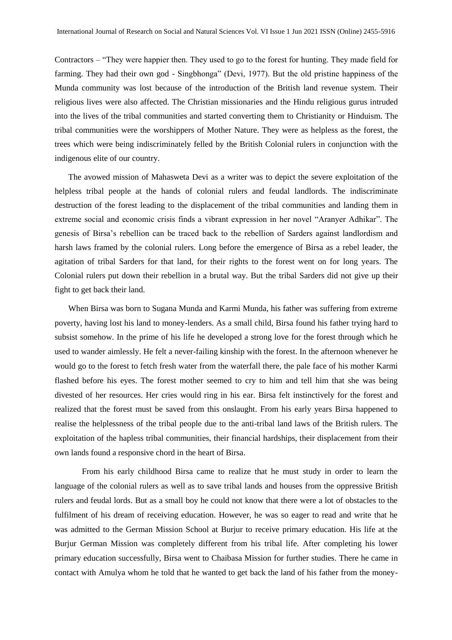Contractors – "They were happier then. They used to go to the forest for hunting. They made field for farming. They had their own god - Singbhonga" (Devi, 1977). But the old pristine happiness of the Munda community was lost because of the introduction of the British land revenue system. Their religious lives were also affected. The Christian missionaries and the Hindu religious gurus intruded into the lives of the tribal communities and started converting them to Christianity or Hinduism. The tribal communities were the worshippers of Mother Nature. They were as helpless as the forest, the trees which were being indiscriminately felled by the British Colonial rulers in conjunction with the indigenous elite of our country.

The avowed mission of Mahasweta Devi as a writer was to depict the severe exploitation of the helpless tribal people at the hands of colonial rulers and feudal landlords. The indiscriminate destruction of the forest leading to the displacement of the tribal communities and landing them in extreme social and economic crisis finds a vibrant expression in her novel "Aranyer Adhikar". The genesis of Birsa's rebellion can be traced back to the rebellion of Sarders against landlordism and harsh laws framed by the colonial rulers. Long before the emergence of Birsa as a rebel leader, the agitation of tribal Sarders for that land, for their rights to the forest went on for long years. The Colonial rulers put down their rebellion in a brutal way. But the tribal Sarders did not give up their fight to get back their land.

When Birsa was born to Sugana Munda and Karmi Munda, his father was suffering from extreme poverty, having lost his land to money-lenders. As a small child, Birsa found his father trying hard to subsist somehow. In the prime of his life he developed a strong love for the forest through which he used to wander aimlessly. He felt a never-failing kinship with the forest. In the afternoon whenever he would go to the forest to fetch fresh water from the waterfall there, the pale face of his mother Karmi flashed before his eyes. The forest mother seemed to cry to him and tell him that she was being divested of her resources. Her cries would ring in his ear. Birsa felt instinctively for the forest and realized that the forest must be saved from this onslaught. From his early years Birsa happened to realise the helplessness of the tribal people due to the anti-tribal land laws of the British rulers. The exploitation of the hapless tribal communities, their financial hardships, their displacement from their own lands found a responsive chord in the heart of Birsa.

From his early childhood Birsa came to realize that he must study in order to learn the language of the colonial rulers as well as to save tribal lands and houses from the oppressive British rulers and feudal lords. But as a small boy he could not know that there were a lot of obstacles to the fulfilment of his dream of receiving education. However, he was so eager to read and write that he was admitted to the German Mission School at Burjur to receive primary education. His life at the Burjur German Mission was completely different from his tribal life. After completing his lower primary education successfully, Birsa went to Chaibasa Mission for further studies. There he came in contact with Amulya whom he told that he wanted to get back the land of his father from the money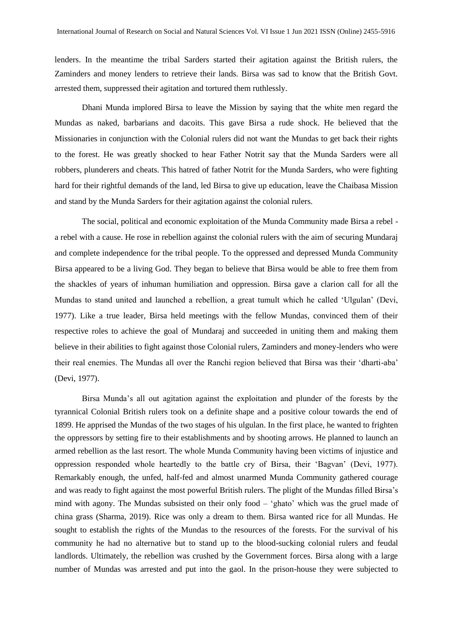lenders. In the meantime the tribal Sarders started their agitation against the British rulers, the Zaminders and money lenders to retrieve their lands. Birsa was sad to know that the British Govt. arrested them, suppressed their agitation and tortured them ruthlessly.

Dhani Munda implored Birsa to leave the Mission by saying that the white men regard the Mundas as naked, barbarians and dacoits. This gave Birsa a rude shock. He believed that the Missionaries in conjunction with the Colonial rulers did not want the Mundas to get back their rights to the forest. He was greatly shocked to hear Father Notrit say that the Munda Sarders were all robbers, plunderers and cheats. This hatred of father Notrit for the Munda Sarders, who were fighting hard for their rightful demands of the land, led Birsa to give up education, leave the Chaibasa Mission and stand by the Munda Sarders for their agitation against the colonial rulers.

The social, political and economic exploitation of the Munda Community made Birsa a rebel a rebel with a cause. He rose in rebellion against the colonial rulers with the aim of securing Mundaraj and complete independence for the tribal people. To the oppressed and depressed Munda Community Birsa appeared to be a living God. They began to believe that Birsa would be able to free them from the shackles of years of inhuman humiliation and oppression. Birsa gave a clarion call for all the Mundas to stand united and launched a rebellion, a great tumult which he called 'Ulgulan' (Devi, 1977). Like a true leader, Birsa held meetings with the fellow Mundas, convinced them of their respective roles to achieve the goal of Mundaraj and succeeded in uniting them and making them believe in their abilities to fight against those Colonial rulers, Zaminders and money-lenders who were their real enemies. The Mundas all over the Ranchi region believed that Birsa was their 'dharti-aba' (Devi, 1977).

Birsa Munda's all out agitation against the exploitation and plunder of the forests by the tyrannical Colonial British rulers took on a definite shape and a positive colour towards the end of 1899. He apprised the Mundas of the two stages of his ulgulan. In the first place, he wanted to frighten the oppressors by setting fire to their establishments and by shooting arrows. He planned to launch an armed rebellion as the last resort. The whole Munda Community having been victims of injustice and oppression responded whole heartedly to the battle cry of Birsa, their 'Bagvan' (Devi, 1977). Remarkably enough, the unfed, half-fed and almost unarmed Munda Community gathered courage and was ready to fight against the most powerful British rulers. The plight of the Mundas filled Birsa's mind with agony. The Mundas subsisted on their only food – 'ghato' which was the gruel made of china grass (Sharma, 2019). Rice was only a dream to them. Birsa wanted rice for all Mundas. He sought to establish the rights of the Mundas to the resources of the forests. For the survival of his community he had no alternative but to stand up to the blood-sucking colonial rulers and feudal landlords. Ultimately, the rebellion was crushed by the Government forces. Birsa along with a large number of Mundas was arrested and put into the gaol. In the prison-house they were subjected to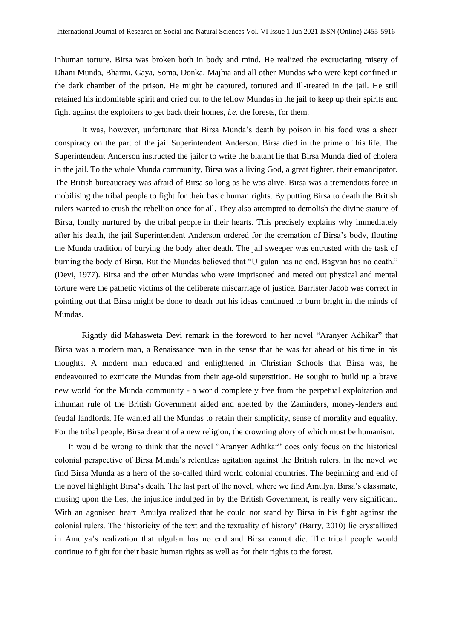inhuman torture. Birsa was broken both in body and mind. He realized the excruciating misery of Dhani Munda, Bharmi, Gaya, Soma, Donka, Majhia and all other Mundas who were kept confined in the dark chamber of the prison. He might be captured, tortured and ill-treated in the jail. He still retained his indomitable spirit and cried out to the fellow Mundas in the jail to keep up their spirits and fight against the exploiters to get back their homes, *i.e.* the forests, for them.

It was, however, unfortunate that Birsa Munda's death by poison in his food was a sheer conspiracy on the part of the jail Superintendent Anderson. Birsa died in the prime of his life. The Superintendent Anderson instructed the jailor to write the blatant lie that Birsa Munda died of cholera in the jail. To the whole Munda community, Birsa was a living God, a great fighter, their emancipator. The British bureaucracy was afraid of Birsa so long as he was alive. Birsa was a tremendous force in mobilising the tribal people to fight for their basic human rights. By putting Birsa to death the British rulers wanted to crush the rebellion once for all. They also attempted to demolish the divine stature of Birsa, fondly nurtured by the tribal people in their hearts. This precisely explains why immediately after his death, the jail Superintendent Anderson ordered for the cremation of Birsa's body, flouting the Munda tradition of burying the body after death. The jail sweeper was entrusted with the task of burning the body of Birsa. But the Mundas believed that "Ulgulan has no end. Bagvan has no death." (Devi, 1977). Birsa and the other Mundas who were imprisoned and meted out physical and mental torture were the pathetic victims of the deliberate miscarriage of justice. Barrister Jacob was correct in pointing out that Birsa might be done to death but his ideas continued to burn bright in the minds of Mundas.

Rightly did Mahasweta Devi remark in the foreword to her novel "Aranyer Adhikar" that Birsa was a modern man, a Renaissance man in the sense that he was far ahead of his time in his thoughts. A modern man educated and enlightened in Christian Schools that Birsa was, he endeavoured to extricate the Mundas from their age-old superstition. He sought to build up a brave new world for the Munda community - a world completely free from the perpetual exploitation and inhuman rule of the British Government aided and abetted by the Zaminders, money-lenders and feudal landlords. He wanted all the Mundas to retain their simplicity, sense of morality and equality. For the tribal people, Birsa dreamt of a new religion, the crowning glory of which must be humanism.

It would be wrong to think that the novel "Aranyer Adhikar" does only focus on the historical colonial perspective of Birsa Munda's relentless agitation against the British rulers. In the novel we find Birsa Munda as a hero of the so-called third world colonial countries. The beginning and end of the novel highlight Birsa's death. The last part of the novel, where we find Amulya, Birsa's classmate, musing upon the lies, the injustice indulged in by the British Government, is really very significant. With an agonised heart Amulya realized that he could not stand by Birsa in his fight against the colonial rulers. The 'historicity of the text and the textuality of history' (Barry, 2010) lie crystallized in Amulya's realization that ulgulan has no end and Birsa cannot die. The tribal people would continue to fight for their basic human rights as well as for their rights to the forest.